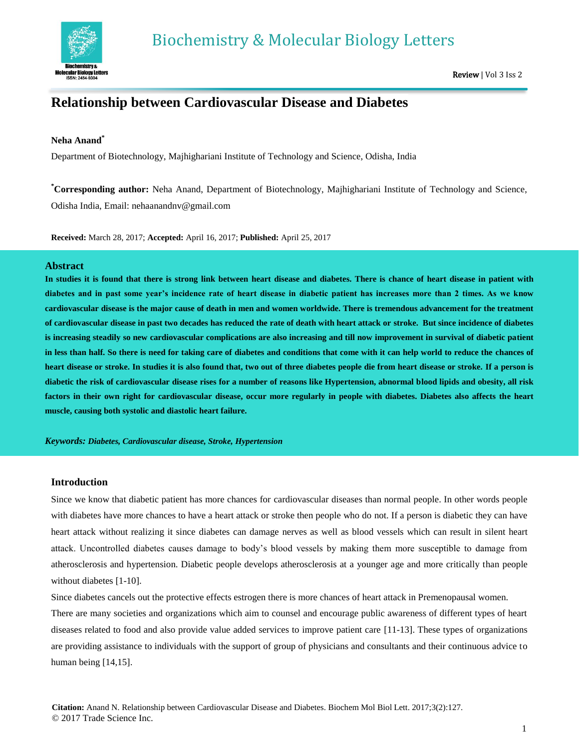

# **Relationship between Cardiovascular Disease and Diabetes**

## **Neha Anand\***

Department of Biotechnology, Majhighariani Institute of Technology and Science, Odisha, India

**\*Corresponding author:** Neha Anand, Department of Biotechnology, Majhighariani Institute of Technology and Science, Odisha India, Email: nehaanandnv@gmail.com

**Received:** March 28, 2017; **Accepted:** April 16, 2017; **Published:** April 25, 2017

## **Abstract**

**In studies it is found that there is strong link between heart disease and diabetes. There is chance of heart disease in patient with diabetes and in past some year's incidence rate of heart disease in diabetic patient has increases more than 2 times. As we know cardiovascular disease is the major cause of death in men and women worldwide. There is tremendous advancement for the treatment of cardiovascular disease in past two decades has reduced the rate of death with heart attack or stroke. But since incidence of diabetes is increasing steadily so new cardiovascular complications are also increasing and till now improvement in survival of diabetic patient in less than half. So there is need for taking care of diabetes and conditions that come with it can help world to reduce the chances of heart disease or stroke. In studies it is also found that, two out of three diabetes people die from heart disease or stroke. If a person is diabetic the risk of cardiovascular disease rises for a number of reasons like Hypertension, abnormal blood lipids and obesity, all risk factors in their own right for cardiovascular disease, occur more regularly in people with diabetes. Diabetes also affects the heart muscle, causing both systolic and diastolic heart failure.**

*Keywords: Diabetes, Cardiovascular disease, Stroke, Hypertension*

## **Introduction**

Since we know that diabetic patient has more chances for cardiovascular diseases than normal people. In other words people with diabetes have more chances to have a heart attack or stroke then people who do not. If a person is diabetic they can have heart attack without realizing it since diabetes can damage nerves as well as blood vessels which can result in silent heart attack. Uncontrolled diabetes causes damage to body's blood vessels by making them more susceptible to damage from atherosclerosis and hypertension. Diabetic people develops atherosclerosis at a younger age and more critically than people without diabetes [1-10].

Since diabetes cancels out the protective effects estrogen there is more chances of heart attack in Premenopausal women.

There are many societies and organizations which aim to counsel and encourage public awareness of different types of heart diseases related to food and also provide value added services to improve patient care [11-13]. These types of organizations are providing assistance to individuals with the support of group of physicians and consultants and their continuous advice to human being [14,15].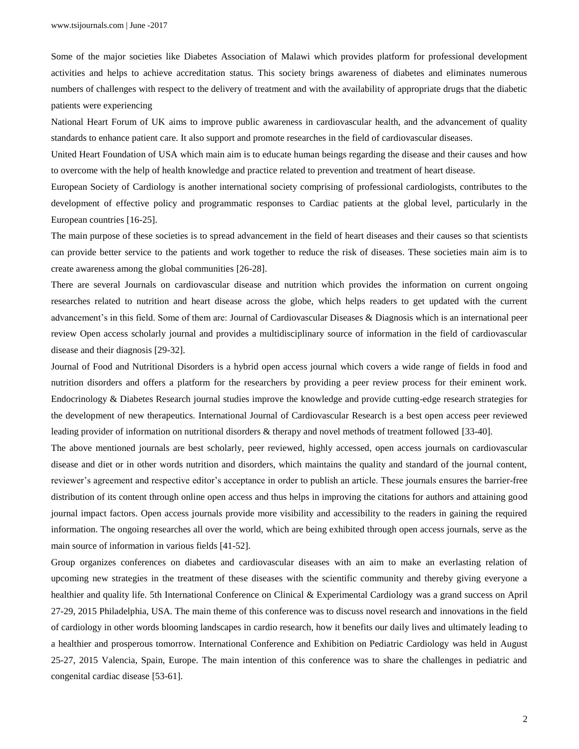Some of the major societies like Diabetes Association of Malawi which provides platform for professional development activities and helps to achieve accreditation status. This society brings awareness of diabetes and eliminates numerous numbers of challenges with respect to the delivery of treatment and with the availability of appropriate drugs that the diabetic patients were experiencing

National Heart Forum of UK aims to improve public awareness in cardiovascular health, and the advancement of quality standards to enhance patient care. It also support and promote researches in the field of cardiovascular diseases.

United Heart Foundation of USA which main aim is to educate human beings regarding the disease and their causes and how to overcome with the help of health knowledge and practice related to prevention and treatment of heart disease.

European Society of Cardiology is another international society comprising of professional cardiologists, contributes to the development of effective policy and programmatic responses to Cardiac patients at the global level, particularly in the European countries [16-25].

The main purpose of these societies is to spread advancement in the field of heart diseases and their causes so that scientists can provide better service to the patients and work together to reduce the risk of diseases. These societies main aim is to create awareness among the global communities [26-28].

There are several Journals on cardiovascular disease and nutrition which provides the information on current ongoing researches related to nutrition and heart disease across the globe, which helps readers to get updated with the current advancement's in this field. Some of them are: Journal of Cardiovascular Diseases & Diagnosis which is an international peer review Open access scholarly journal and provides a multidisciplinary source of information in the field of cardiovascular disease and their diagnosis [29-32].

Journal of Food and Nutritional Disorders is a hybrid open access journal which covers a wide range of fields in food and nutrition disorders and offers a platform for the researchers by providing a peer review process for their eminent work. Endocrinology & Diabetes Research journal studies improve the knowledge and provide cutting-edge research strategies for the development of new therapeutics. International Journal of Cardiovascular Research is a best open access peer reviewed leading provider of information on nutritional disorders & therapy and novel methods of treatment followed [33-40].

The above mentioned journals are best scholarly, peer reviewed, highly accessed, open access journals on cardiovascular disease and diet or in other words nutrition and disorders, which maintains the quality and standard of the journal content, reviewer's agreement and respective editor's acceptance in order to publish an article. These journals ensures the barrier-free distribution of its content through online open access and thus helps in improving the citations for authors and attaining good journal impact factors. Open access journals provide more visibility and accessibility to the readers in gaining the required information. The ongoing researches all over the world, which are being exhibited through open access journals, serve as the main source of information in various fields [41-52].

Group organizes conferences on diabetes and cardiovascular diseases with an aim to make an everlasting relation of upcoming new strategies in the treatment of these diseases with the scientific community and thereby giving everyone a healthier and quality life. 5th International Conference on Clinical & Experimental Cardiology was a grand success on April 27-29, 2015 Philadelphia, USA. The main theme of this conference was to discuss novel research and innovations in the field of cardiology in other words blooming landscapes in cardio research, how it benefits our daily lives and ultimately leading to a healthier and prosperous tomorrow. International Conference and Exhibition on Pediatric Cardiology was held in August 25-27, 2015 Valencia, Spain, Europe. The main intention of this conference was to share the challenges in pediatric and congenital cardiac disease [53-61].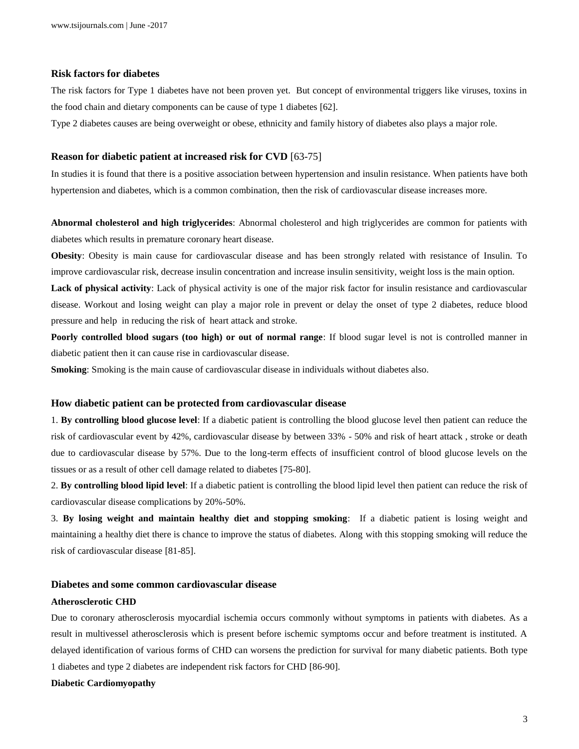## **Risk factors for diabetes**

The risk factors for Type 1 diabetes have not been proven yet. But concept of environmental triggers like viruses, toxins in the food chain and dietary components can be cause of type 1 diabetes [62].

Type 2 diabetes causes are being overweight or obese, ethnicity and family history of diabetes also plays a major role.

## **Reason for diabetic patient at increased risk for CVD** [63-75]

In studies it is found that there is a positive association between hypertension and insulin resistance. When patients have both hypertension and diabetes, which is a common combination, then the risk of cardiovascular disease increases more.

**Abnormal cholesterol and high triglycerides**: Abnormal cholesterol and high triglycerides are common for patients with diabetes which results in premature coronary heart disease.

**Obesity**: Obesity is main cause for cardiovascular disease and has been strongly related with resistance of Insulin. To improve cardiovascular risk, decrease insulin concentration and increase insulin sensitivity, weight loss is the main option.

**Lack of physical activity**: Lack of physical activity is one of the major risk factor for insulin resistance and cardiovascular disease. Workout and losing weight can play a major role in prevent or delay the onset of type 2 diabetes, reduce blood pressure and help in reducing the risk of heart attack and stroke.

**Poorly controlled blood sugars (too high) or out of normal range**: If blood sugar level is not is controlled manner in diabetic patient then it can cause rise in cardiovascular disease.

**Smoking**: Smoking is the main cause of cardiovascular disease in individuals without diabetes also.

#### **How diabetic patient can be protected from cardiovascular disease**

1. **By controlling blood glucose level**: If a diabetic patient is controlling the blood glucose level then patient can reduce the risk of cardiovascular event by 42%, cardiovascular disease by between 33% - 50% and risk of heart attack , stroke or death due to cardiovascular disease by 57%. Due to the long-term effects of insufficient control of blood glucose levels on the tissues or as a result of other cell damage related to diabetes [75-80].

2. **By controlling blood lipid level**: If a diabetic patient is controlling the blood lipid level then patient can reduce the risk of cardiovascular disease complications by 20%-50%.

3. **By losing weight and maintain healthy diet and stopping smoking**: If a diabetic patient is losing weight and maintaining a healthy diet there is chance to improve the status of diabetes. Along with this stopping smoking will reduce the risk of cardiovascular disease [81-85].

## **Diabetes and some common cardiovascular disease**

#### **Atherosclerotic CHD**

Due to coronary atherosclerosis myocardial ischemia occurs commonly without symptoms in patients with diabetes. As a result in multivessel atherosclerosis which is present before ischemic symptoms occur and before treatment is instituted. A delayed identification of various forms of CHD can worsens the prediction for survival for many diabetic patients. Both type 1 diabetes and type 2 diabetes are independent risk factors for CHD [86-90].

## **Diabetic Cardiomyopathy**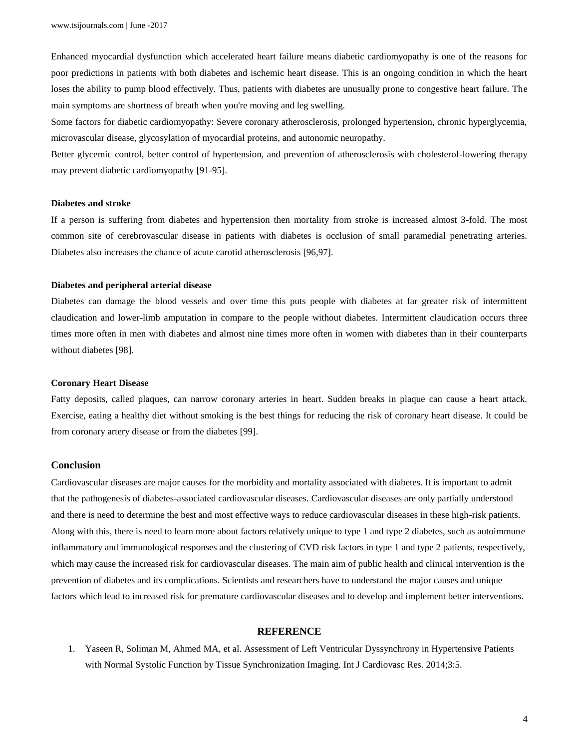Enhanced myocardial dysfunction which accelerated heart failure means diabetic cardiomyopathy is one of the reasons for poor predictions in patients with both diabetes and ischemic heart disease. This is an ongoing condition in which the heart loses the ability to pump blood effectively. Thus, patients with diabetes are unusually prone to congestive heart failure. The main symptoms are shortness of breath when you're moving and leg swelling.

Some factors for diabetic cardiomyopathy: Severe coronary atherosclerosis, prolonged hypertension, chronic hyperglycemia, microvascular disease, glycosylation of myocardial proteins, and autonomic neuropathy.

Better glycemic control, better control of hypertension, and prevention of atherosclerosis with cholesterol-lowering therapy may prevent diabetic cardiomyopathy [91-95].

#### **Diabetes and stroke**

If a person is suffering from diabetes and hypertension then mortality from stroke is increased almost 3-fold. The most common site of cerebrovascular disease in patients with diabetes is occlusion of small paramedial penetrating arteries. Diabetes also increases the chance of acute carotid atherosclerosis [96,97].

#### **Diabetes and peripheral arterial disease**

Diabetes can damage the blood vessels and over time this puts people with diabetes at far greater risk of intermittent claudication and lower-limb amputation in compare to the people without diabetes. Intermittent claudication occurs three times more often in men with diabetes and almost nine times more often in women with diabetes than in their counterparts without diabetes [98].

#### **Coronary Heart Disease**

Fatty deposits, called plaques, can narrow coronary arteries in heart. Sudden breaks in plaque can cause a heart attack. Exercise, eating a healthy diet without smoking is the best things for reducing the risk of coronary heart disease. It could be from coronary artery disease or from the diabetes [99].

## **Conclusion**

Cardiovascular diseases are major causes for the morbidity and mortality associated with diabetes. It is important to admit that the pathogenesis of diabetes-associated cardiovascular diseases. Cardiovascular diseases are only partially understood and there is need to determine the best and most effective ways to reduce cardiovascular diseases in these high-risk patients. Along with this, there is need to learn more about factors relatively unique to type 1 and type 2 diabetes, such as autoimmune inflammatory and immunological responses and the clustering of CVD risk factors in type 1 and type 2 patients, respectively, which may cause the increased risk for cardiovascular diseases. The main aim of public health and clinical intervention is the prevention of diabetes and its complications. Scientists and researchers have to understand the major causes and unique factors which lead to increased risk for premature cardiovascular diseases and to develop and implement better interventions.

## **REFERENCE**

1. Yaseen R, Soliman M, Ahmed MA, et al. Assessment of Left Ventricular Dyssynchrony in Hypertensive Patients with Normal Systolic Function by Tissue Synchronization Imaging. Int J Cardiovasc Res. 2014;3:5.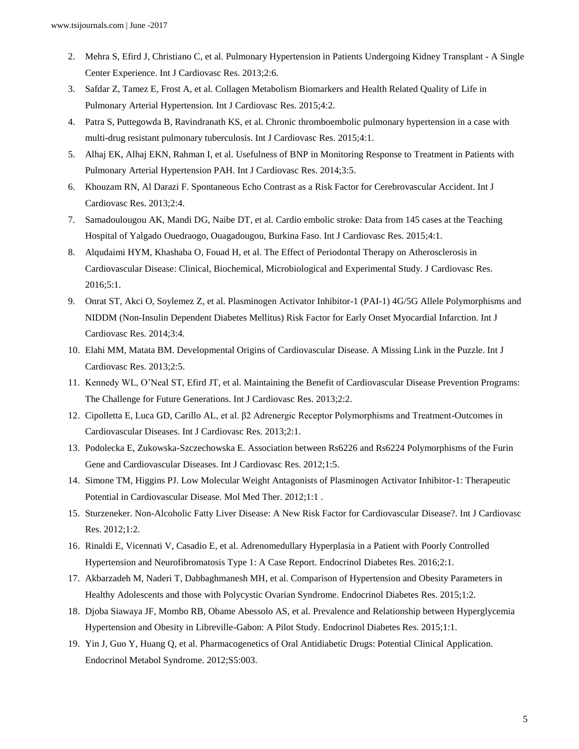- 2. Mehra S, Efird J, Christiano C, et al. Pulmonary Hypertension in Patients Undergoing Kidney Transplant A Single Center Experience. Int J Cardiovasc Res. 2013;2:6.
- 3. Safdar Z, Tamez E, Frost A, et al. Collagen Metabolism Biomarkers and Health Related Quality of Life in Pulmonary Arterial Hypertension. Int J Cardiovasc Res. 2015;4:2.
- 4. Patra S, Puttegowda B, Ravindranath KS, et al. Chronic thromboembolic pulmonary hypertension in a case with multi-drug resistant pulmonary tuberculosis. Int J Cardiovasc Res. 2015;4:1.
- 5. Alhaj EK, Alhaj EKN, Rahman I, et al. Usefulness of BNP in Monitoring Response to Treatment in Patients with Pulmonary Arterial Hypertension PAH. Int J Cardiovasc Res. 2014;3:5.
- 6. Khouzam RN, Al Darazi F. Spontaneous Echo Contrast as a Risk Factor for Cerebrovascular Accident. Int J Cardiovasc Res. 2013;2:4.
- 7. Samadoulougou AK, Mandi DG, Naibe DT, et al. Cardio embolic stroke: Data from 145 cases at the Teaching Hospital of Yalgado Ouedraogo, Ouagadougou, Burkina Faso. Int J Cardiovasc Res. 2015;4:1.
- 8. Alqudaimi HYM, Khashaba O, Fouad H, et al. The Effect of Periodontal Therapy on Atherosclerosis in Cardiovascular Disease: Clinical, Biochemical, Microbiological and Experimental Study. J Cardiovasc Res. 2016;5:1.
- 9. Onrat ST, Akci O, Soylemez Z, et al. Plasminogen Activator Inhibitor-1 (PAI-1) 4G/5G Allele Polymorphisms and NIDDM (Non-Insulin Dependent Diabetes Mellitus) Risk Factor for Early Onset Myocardial Infarction. Int J Cardiovasc Res. 2014;3:4.
- 10. Elahi MM, Matata BM. Developmental Origins of Cardiovascular Disease. A Missing Link in the Puzzle. Int J Cardiovasc Res. 2013;2:5.
- 11. Kennedy WL, O'Neal ST, Efird JT, et al. Maintaining the Benefit of Cardiovascular Disease Prevention Programs: The Challenge for Future Generations. Int J Cardiovasc Res. 2013;2:2.
- 12. Cipolletta E, Luca GD, Carillo AL, et al. β2 Adrenergic Receptor Polymorphisms and Treatment-Outcomes in Cardiovascular Diseases. Int J Cardiovasc Res. 2013;2:1.
- 13. Podolecka E, Zukowska-Szczechowska E. Association between Rs6226 and Rs6224 Polymorphisms of the Furin Gene and Cardiovascular Diseases. Int J Cardiovasc Res. 2012;1:5.
- 14. Simone TM, Higgins PJ. Low Molecular Weight Antagonists of Plasminogen Activator Inhibitor-1: Therapeutic Potential in Cardiovascular Disease. Mol Med Ther. 2012;1:1 .
- 15. Sturzeneker. Non-Alcoholic Fatty Liver Disease: A New Risk Factor for Cardiovascular Disease?. Int J Cardiovasc Res. 2012;1:2.
- 16. Rinaldi E, Vicennati V, Casadio E, et al. Adrenomedullary Hyperplasia in a Patient with Poorly Controlled Hypertension and Neurofibromatosis Type 1: A Case Report. Endocrinol Diabetes Res. 2016;2:1.
- 17. Akbarzadeh M, Naderi T, Dabbaghmanesh MH, et al. Comparison of Hypertension and Obesity Parameters in Healthy Adolescents and those with Polycystic Ovarian Syndrome. Endocrinol Diabetes Res. 2015;1:2.
- 18. Djoba Siawaya JF, Mombo RB, Obame Abessolo AS, et al. Prevalence and Relationship between Hyperglycemia Hypertension and Obesity in Libreville-Gabon: A Pilot Study. Endocrinol Diabetes Res. 2015;1:1.
- 19. Yin J, Guo Y, Huang Q, et al. Pharmacogenetics of Oral Antidiabetic Drugs: Potential Clinical Application. Endocrinol Metabol Syndrome. 2012;S5:003.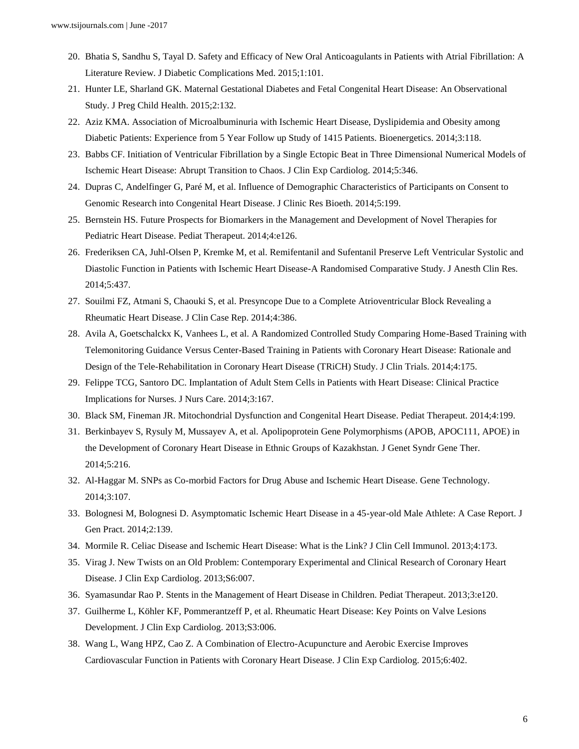- 20. Bhatia S, Sandhu S, Tayal D. Safety and Efficacy of New Oral Anticoagulants in Patients with Atrial Fibrillation: A Literature Review. J Diabetic Complications Med. 2015;1:101.
- 21. Hunter LE, Sharland GK. Maternal Gestational Diabetes and Fetal Congenital Heart Disease: An Observational Study. J Preg Child Health. 2015;2:132.
- 22. Aziz KMA. Association of Microalbuminuria with Ischemic Heart Disease, Dyslipidemia and Obesity among Diabetic Patients: Experience from 5 Year Follow up Study of 1415 Patients. Bioenergetics. 2014;3:118.
- 23. Babbs CF. Initiation of Ventricular Fibrillation by a Single Ectopic Beat in Three Dimensional Numerical Models of Ischemic Heart Disease: Abrupt Transition to Chaos. J Clin Exp Cardiolog. 2014;5:346.
- 24. Dupras C, Andelfinger G, Paré M, et al. Influence of Demographic Characteristics of Participants on Consent to Genomic Research into Congenital Heart Disease. J Clinic Res Bioeth. 2014;5:199.
- 25. Bernstein HS. Future Prospects for Biomarkers in the Management and Development of Novel Therapies for Pediatric Heart Disease. Pediat Therapeut. 2014;4:e126.
- 26. Frederiksen CA, Juhl-Olsen P, Kremke M, et al. Remifentanil and Sufentanil Preserve Left Ventricular Systolic and Diastolic Function in Patients with Ischemic Heart Disease-A Randomised Comparative Study. J Anesth Clin Res. 2014;5:437.
- 27. Souilmi FZ, Atmani S, Chaouki S, et al. Presyncope Due to a Complete Atrioventricular Block Revealing a Rheumatic Heart Disease. J Clin Case Rep. 2014;4:386.
- 28. Avila A, Goetschalckx K, Vanhees L, et al. A Randomized Controlled Study Comparing Home-Based Training with Telemonitoring Guidance Versus Center-Based Training in Patients with Coronary Heart Disease: Rationale and Design of the Tele-Rehabilitation in Coronary Heart Disease (TRiCH) Study. J Clin Trials. 2014;4:175.
- 29. Felippe TCG, Santoro DC. Implantation of Adult Stem Cells in Patients with Heart Disease: Clinical Practice Implications for Nurses. J Nurs Care. 2014;3:167.
- 30. Black SM, Fineman JR. Mitochondrial Dysfunction and Congenital Heart Disease. Pediat Therapeut. 2014;4:199.
- 31. Berkinbayev S, Rysuly M, Mussayev A, et al. Apolipoprotein Gene Polymorphisms (APOB, APOC111, APOE) in the Development of Coronary Heart Disease in Ethnic Groups of Kazakhstan. J Genet Syndr Gene Ther. 2014;5:216.
- 32. Al-Haggar M. SNPs as Co-morbid Factors for Drug Abuse and Ischemic Heart Disease. Gene Technology. 2014;3:107.
- 33. Bolognesi M, Bolognesi D. Asymptomatic Ischemic Heart Disease in a 45-year-old Male Athlete: A Case Report. J Gen Pract. 2014;2:139.
- 34. Mormile R. Celiac Disease and Ischemic Heart Disease: What is the Link? J Clin Cell Immunol. 2013;4:173.
- 35. Virag J. New Twists on an Old Problem: Contemporary Experimental and Clinical Research of Coronary Heart Disease. J Clin Exp Cardiolog. 2013;S6:007.
- 36. Syamasundar Rao P. Stents in the Management of Heart Disease in Children. Pediat Therapeut. 2013;3:e120.
- 37. Guilherme L, Köhler KF, Pommerantzeff P, et al. Rheumatic Heart Disease: Key Points on Valve Lesions Development. J Clin Exp Cardiolog. 2013;S3:006.
- 38. Wang L, Wang HPZ, Cao Z. A Combination of Electro-Acupuncture and Aerobic Exercise Improves Cardiovascular Function in Patients with Coronary Heart Disease. J Clin Exp Cardiolog. 2015;6:402.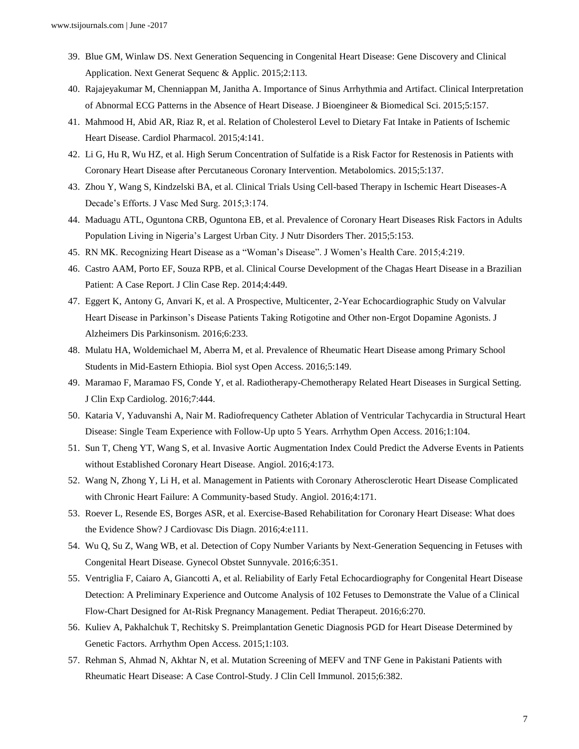- 39. Blue GM, Winlaw DS. Next Generation Sequencing in Congenital Heart Disease: Gene Discovery and Clinical Application. Next Generat Sequenc & Applic. 2015;2:113.
- 40. Rajajeyakumar M, Chenniappan M, Janitha A. Importance of Sinus Arrhythmia and Artifact. Clinical Interpretation of Abnormal ECG Patterns in the Absence of Heart Disease. J Bioengineer & Biomedical Sci. 2015;5:157.
- 41. Mahmood H, Abid AR, Riaz R, et al. Relation of Cholesterol Level to Dietary Fat Intake in Patients of Ischemic Heart Disease. Cardiol Pharmacol. 2015;4:141.
- 42. Li G, Hu R, Wu HZ, et al. High Serum Concentration of Sulfatide is a Risk Factor for Restenosis in Patients with Coronary Heart Disease after Percutaneous Coronary Intervention. Metabolomics. 2015;5:137.
- 43. Zhou Y, Wang S, Kindzelski BA, et al. Clinical Trials Using Cell-based Therapy in Ischemic Heart Diseases-A Decade's Efforts. J Vasc Med Surg. 2015;3:174.
- 44. Maduagu ATL, Oguntona CRB, Oguntona EB, et al. Prevalence of Coronary Heart Diseases Risk Factors in Adults Population Living in Nigeria's Largest Urban City. J Nutr Disorders Ther. 2015;5:153.
- 45. RN MK. Recognizing Heart Disease as a "Woman's Disease". J Women's Health Care. 2015;4:219.
- 46. Castro AAM, Porto EF, Souza RPB, et al. Clinical Course Development of the Chagas Heart Disease in a Brazilian Patient: A Case Report. J Clin Case Rep. 2014;4:449.
- 47. Eggert K, Antony G, Anvari K, et al. A Prospective, Multicenter, 2-Year Echocardiographic Study on Valvular Heart Disease in Parkinson's Disease Patients Taking Rotigotine and Other non-Ergot Dopamine Agonists. J Alzheimers Dis Parkinsonism. 2016;6:233.
- 48. Mulatu HA, Woldemichael M, Aberra M, et al. Prevalence of Rheumatic Heart Disease among Primary School Students in Mid-Eastern Ethiopia. Biol syst Open Access. 2016;5:149.
- 49. Maramao F, Maramao FS, Conde Y, et al. Radiotherapy-Chemotherapy Related Heart Diseases in Surgical Setting. J Clin Exp Cardiolog. 2016;7:444.
- 50. Kataria V, Yaduvanshi A, Nair M. Radiofrequency Catheter Ablation of Ventricular Tachycardia in Structural Heart Disease: Single Team Experience with Follow-Up upto 5 Years. Arrhythm Open Access. 2016;1:104.
- 51. Sun T, Cheng YT, Wang S, et al. Invasive Aortic Augmentation Index Could Predict the Adverse Events in Patients without Established Coronary Heart Disease. Angiol. 2016;4:173.
- 52. Wang N, Zhong Y, Li H, et al. Management in Patients with Coronary Atherosclerotic Heart Disease Complicated with Chronic Heart Failure: A Community-based Study. Angiol. 2016;4:171.
- 53. Roever L, Resende ES, Borges ASR, et al. Exercise-Based Rehabilitation for Coronary Heart Disease: What does the Evidence Show? J Cardiovasc Dis Diagn. 2016;4:e111.
- 54. Wu Q, Su Z, Wang WB, et al. Detection of Copy Number Variants by Next-Generation Sequencing in Fetuses with Congenital Heart Disease. Gynecol Obstet Sunnyvale. 2016;6:351.
- 55. Ventriglia F, Caiaro A, Giancotti A, et al. Reliability of Early Fetal Echocardiography for Congenital Heart Disease Detection: A Preliminary Experience and Outcome Analysis of 102 Fetuses to Demonstrate the Value of a Clinical Flow-Chart Designed for At-Risk Pregnancy Management. Pediat Therapeut. 2016;6:270.
- 56. Kuliev A, Pakhalchuk T, Rechitsky S. Preimplantation Genetic Diagnosis PGD for Heart Disease Determined by Genetic Factors. Arrhythm Open Access. 2015;1:103.
- 57. Rehman S, Ahmad N, Akhtar N, et al. Mutation Screening of MEFV and TNF Gene in Pakistani Patients with Rheumatic Heart Disease: A Case Control-Study. J Clin Cell Immunol. 2015;6:382.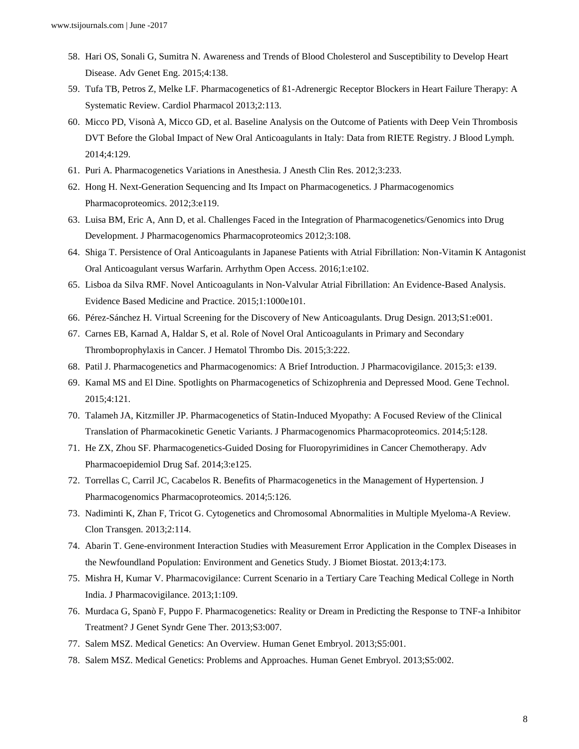- 58. Hari OS, Sonali G, Sumitra N. Awareness and Trends of Blood Cholesterol and Susceptibility to Develop Heart Disease. Adv Genet Eng. 2015;4:138.
- 59. Tufa TB, Petros Z, Melke LF. Pharmacogenetics of ß1-Adrenergic Receptor Blockers in Heart Failure Therapy: A Systematic Review. Cardiol Pharmacol 2013;2:113.
- 60. Micco PD, Visonà A, Micco GD, et al. Baseline Analysis on the Outcome of Patients with Deep Vein Thrombosis DVT Before the Global Impact of New Oral Anticoagulants in Italy: Data from RIETE Registry. J Blood Lymph. 2014;4:129.
- 61. Puri A. Pharmacogenetics Variations in Anesthesia. J Anesth Clin Res. 2012;3:233.
- 62. Hong H. Next-Generation Sequencing and Its Impact on Pharmacogenetics. J Pharmacogenomics Pharmacoproteomics. 2012;3:e119.
- 63. Luisa BM, Eric A, Ann D, et al. Challenges Faced in the Integration of Pharmacogenetics/Genomics into Drug Development. J Pharmacogenomics Pharmacoproteomics 2012;3:108.
- 64. Shiga T. Persistence of Oral Anticoagulants in Japanese Patients with Atrial Fibrillation: Non-Vitamin K Antagonist Oral Anticoagulant versus Warfarin. Arrhythm Open Access. 2016;1:e102.
- 65. Lisboa da Silva RMF. Novel Anticoagulants in Non-Valvular Atrial Fibrillation: An Evidence-Based Analysis. Evidence Based Medicine and Practice. 2015;1:1000e101.
- 66. Pérez-Sánchez H. Virtual Screening for the Discovery of New Anticoagulants. Drug Design. 2013;S1:e001.
- 67. Carnes EB, Karnad A, Haldar S, et al. Role of Novel Oral Anticoagulants in Primary and Secondary Thromboprophylaxis in Cancer. J Hematol Thrombo Dis. 2015;3:222.
- 68. Patil J. Pharmacogenetics and Pharmacogenomics: A Brief Introduction. J Pharmacovigilance. 2015;3: e139.
- 69. Kamal MS and El Dine. Spotlights on Pharmacogenetics of Schizophrenia and Depressed Mood. Gene Technol. 2015;4:121.
- 70. Talameh JA, Kitzmiller JP. Pharmacogenetics of Statin-Induced Myopathy: A Focused Review of the Clinical Translation of Pharmacokinetic Genetic Variants. J Pharmacogenomics Pharmacoproteomics. 2014;5:128.
- 71. He ZX, Zhou SF. Pharmacogenetics-Guided Dosing for Fluoropyrimidines in Cancer Chemotherapy. Adv Pharmacoepidemiol Drug Saf. 2014;3:e125.
- 72. Torrellas C, Carril JC, Cacabelos R. Benefits of Pharmacogenetics in the Management of Hypertension. J Pharmacogenomics Pharmacoproteomics. 2014;5:126.
- 73. Nadiminti K, Zhan F, Tricot G. Cytogenetics and Chromosomal Abnormalities in Multiple Myeloma-A Review. Clon Transgen. 2013;2:114.
- 74. Abarin T. Gene-environment Interaction Studies with Measurement Error Application in the Complex Diseases in the Newfoundland Population: Environment and Genetics Study. J Biomet Biostat. 2013;4:173.
- 75. Mishra H, Kumar V. Pharmacovigilance: Current Scenario in a Tertiary Care Teaching Medical College in North India. J Pharmacovigilance. 2013;1:109.
- 76. Murdaca G, Spanò F, Puppo F. Pharmacogenetics: Reality or Dream in Predicting the Response to TNF-a Inhibitor Treatment? J Genet Syndr Gene Ther. 2013;S3:007.
- 77. Salem MSZ. Medical Genetics: An Overview. Human Genet Embryol. 2013;S5:001.
- 78. Salem MSZ. Medical Genetics: Problems and Approaches. Human Genet Embryol. 2013;S5:002.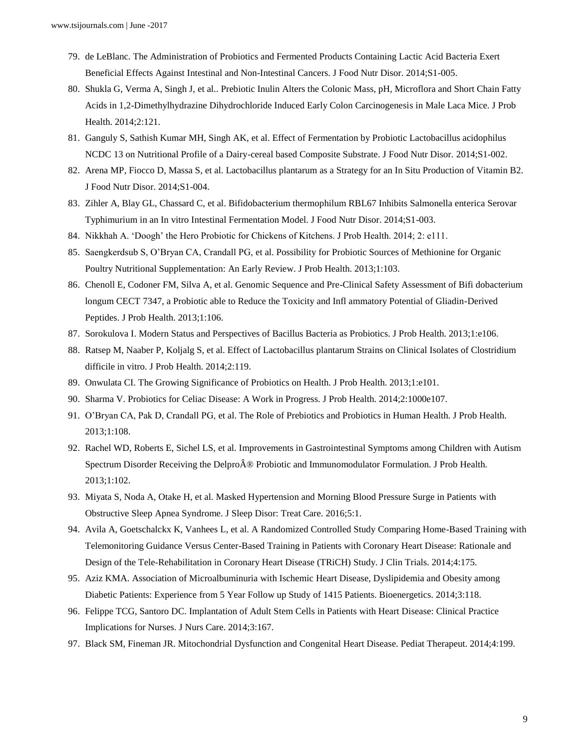- 79. de LeBlanc. The Administration of Probiotics and Fermented Products Containing Lactic Acid Bacteria Exert Beneficial Effects Against Intestinal and Non-Intestinal Cancers. J Food Nutr Disor. 2014;S1-005.
- 80. Shukla G, Verma A, Singh J, et al.. Prebiotic Inulin Alters the Colonic Mass, pH, Microflora and Short Chain Fatty Acids in 1,2-Dimethylhydrazine Dihydrochloride Induced Early Colon Carcinogenesis in Male Laca Mice. J Prob Health. 2014;2:121.
- 81. Ganguly S, Sathish Kumar MH, Singh AK, et al. Effect of Fermentation by Probiotic Lactobacillus acidophilus NCDC 13 on Nutritional Profile of a Dairy-cereal based Composite Substrate. J Food Nutr Disor. 2014;S1-002.
- 82. Arena MP, Fiocco D, Massa S, et al. Lactobacillus plantarum as a Strategy for an In Situ Production of Vitamin B2. J Food Nutr Disor. 2014;S1-004.
- 83. Zihler A, Blay GL, Chassard C, et al. Bifidobacterium thermophilum RBL67 Inhibits Salmonella enterica Serovar Typhimurium in an In vitro Intestinal Fermentation Model. J Food Nutr Disor. 2014;S1-003.
- 84. Nikkhah A. 'Doogh' the Hero Probiotic for Chickens of Kitchens. J Prob Health. 2014; 2: e111.
- 85. Saengkerdsub S, O'Bryan CA, Crandall PG, et al. Possibility for Probiotic Sources of Methionine for Organic Poultry Nutritional Supplementation: An Early Review. J Prob Health. 2013;1:103.
- 86. Chenoll E, Codoner FM, Silva A, et al. Genomic Sequence and Pre-Clinical Safety Assessment of Bifi dobacterium longum CECT 7347, a Probiotic able to Reduce the Toxicity and Infl ammatory Potential of Gliadin-Derived Peptides. J Prob Health. 2013;1:106.
- 87. Sorokulova I. Modern Status and Perspectives of Bacillus Bacteria as Probiotics. J Prob Health. 2013;1:e106.
- 88. Ratsep M, Naaber P, Koljalg S, et al. Effect of Lactobacillus plantarum Strains on Clinical Isolates of Clostridium difficile in vitro. J Prob Health. 2014;2:119.
- 89. Onwulata CI. The Growing Significance of Probiotics on Health. J Prob Health. 2013;1:e101.
- 90. Sharma V. Probiotics for Celiac Disease: A Work in Progress. J Prob Health. 2014;2:1000e107.
- 91. O'Bryan CA, Pak D, Crandall PG, et al. The Role of Prebiotics and Probiotics in Human Health. J Prob Health. 2013;1:108.
- 92. Rachel WD, Roberts E, Sichel LS, et al. Improvements in Gastrointestinal Symptoms among Children with Autism Spectrum Disorder Receiving the Delpro $\hat{A} \otimes P$ robiotic and Immunomodulator Formulation. J Prob Health. 2013;1:102.
- 93. Miyata S, Noda A, Otake H, et al. Masked Hypertension and Morning Blood Pressure Surge in Patients with Obstructive Sleep Apnea Syndrome. J Sleep Disor: Treat Care. 2016;5:1.
- 94. Avila A, Goetschalckx K, Vanhees L, et al. A Randomized Controlled Study Comparing Home-Based Training with Telemonitoring Guidance Versus Center-Based Training in Patients with Coronary Heart Disease: Rationale and Design of the Tele-Rehabilitation in Coronary Heart Disease (TRiCH) Study. J Clin Trials. 2014;4:175.
- 95. Aziz KMA. Association of Microalbuminuria with Ischemic Heart Disease, Dyslipidemia and Obesity among Diabetic Patients: Experience from 5 Year Follow up Study of 1415 Patients. Bioenergetics. 2014;3:118.
- 96. Felippe TCG, Santoro DC. Implantation of Adult Stem Cells in Patients with Heart Disease: Clinical Practice Implications for Nurses. J Nurs Care. 2014;3:167.
- 97. Black SM, Fineman JR. Mitochondrial Dysfunction and Congenital Heart Disease. Pediat Therapeut. 2014;4:199.